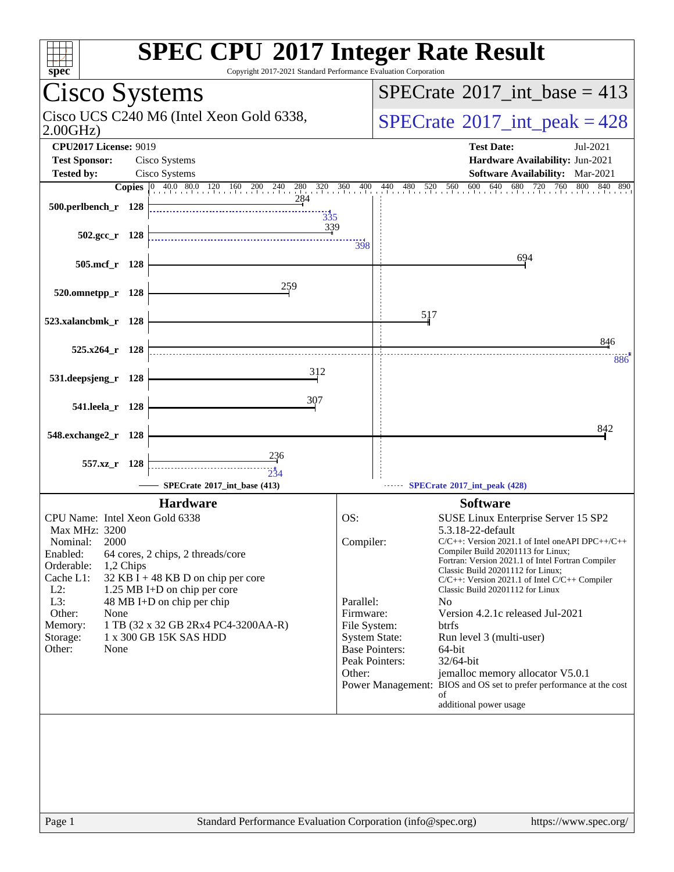| spec <sup>®</sup>                                                                                                                                                                                                                               | <b>SPEC CPU®2017 Integer Rate Result</b><br>Copyright 2017-2021 Standard Performance Evaluation Corporation                                                                                                                                                                                                                                       |
|-------------------------------------------------------------------------------------------------------------------------------------------------------------------------------------------------------------------------------------------------|---------------------------------------------------------------------------------------------------------------------------------------------------------------------------------------------------------------------------------------------------------------------------------------------------------------------------------------------------|
| Cisco Systems                                                                                                                                                                                                                                   | $SPECrate^{\circledast}2017\_int\_base = 413$                                                                                                                                                                                                                                                                                                     |
| Cisco UCS C240 M6 (Intel Xeon Gold 6338,<br>2.00GHz                                                                                                                                                                                             | $SPECTate$ <sup>®</sup> 2017_int_peak = 428                                                                                                                                                                                                                                                                                                       |
| <b>CPU2017 License: 9019</b><br><b>Test Sponsor:</b><br>Cisco Systems                                                                                                                                                                           | <b>Test Date:</b><br>Jul-2021<br>Hardware Availability: Jun-2021                                                                                                                                                                                                                                                                                  |
| Cisco Systems<br><b>Tested by:</b>                                                                                                                                                                                                              | Software Availability: Mar-2021                                                                                                                                                                                                                                                                                                                   |
| <b>Copies</b> 0 40.0 80.0 120 160 200 240 280 320 360 400                                                                                                                                                                                       | $\frac{440}{1}$<br>480 520 560<br>600<br>640<br>680<br>760<br>800<br>720<br>840 890                                                                                                                                                                                                                                                               |
| 284<br>500.perlbench_r 128<br>$\frac{11}{335}$                                                                                                                                                                                                  |                                                                                                                                                                                                                                                                                                                                                   |
| 339<br>$502.\text{gcc r}$ 128                                                                                                                                                                                                                   | 398                                                                                                                                                                                                                                                                                                                                               |
| 505.mcf_r 128                                                                                                                                                                                                                                   | 694                                                                                                                                                                                                                                                                                                                                               |
| 259<br>520.omnetpp_r 128                                                                                                                                                                                                                        |                                                                                                                                                                                                                                                                                                                                                   |
| 523.xalancbmk_r 128                                                                                                                                                                                                                             | 517                                                                                                                                                                                                                                                                                                                                               |
| $525.x264$ r 128                                                                                                                                                                                                                                | 846<br>886                                                                                                                                                                                                                                                                                                                                        |
| 312<br>531.deepsjeng_r 128                                                                                                                                                                                                                      |                                                                                                                                                                                                                                                                                                                                                   |
| 307<br>541.leela_r 128                                                                                                                                                                                                                          |                                                                                                                                                                                                                                                                                                                                                   |
| 548.exchange2_r<br>- 128                                                                                                                                                                                                                        | 842                                                                                                                                                                                                                                                                                                                                               |
| 236<br>557.xz r 128<br>234<br>SPECrate®2017 int base (413)                                                                                                                                                                                      | SPECrate®2017_int_peak (428)                                                                                                                                                                                                                                                                                                                      |
|                                                                                                                                                                                                                                                 |                                                                                                                                                                                                                                                                                                                                                   |
| <b>Hardware</b>                                                                                                                                                                                                                                 | <b>Software</b>                                                                                                                                                                                                                                                                                                                                   |
| CPU Name: Intel Xeon Gold 6338                                                                                                                                                                                                                  | OS:<br>SUSE Linux Enterprise Server 15 SP2                                                                                                                                                                                                                                                                                                        |
| Max MHz: 3200<br>2000<br>Nominal:<br>Enabled:<br>64 cores, 2 chips, 2 threads/core<br>Orderable:<br>1,2 Chips<br>Cache L1:<br>32 KB I + 48 KB D on chip per core<br>$L2$ :<br>1.25 MB I+D on chip per core<br>L3:<br>48 MB I+D on chip per chip | 5.3.18-22-default<br>Compiler:<br>$C/C++$ : Version 2021.1 of Intel one API DPC++/C++<br>Compiler Build 20201113 for Linux;<br>Fortran: Version 2021.1 of Intel Fortran Compiler<br>Classic Build 20201112 for Linux;<br>$C/C++$ : Version 2021.1 of Intel $C/C++$ Compiler<br>Classic Build 20201112 for Linux<br>Parallel:<br>N <sub>0</sub>    |
| Other:<br>None<br>1 TB (32 x 32 GB 2Rx4 PC4-3200AA-R)<br>Memory:<br>1 x 300 GB 15K SAS HDD<br>Storage:<br>Other:<br>None                                                                                                                        | Firmware:<br>Version 4.2.1c released Jul-2021<br>File System:<br>btrfs<br><b>System State:</b><br>Run level 3 (multi-user)<br><b>Base Pointers:</b><br>64-bit<br>Peak Pointers:<br>32/64-bit<br>Other:<br>jemalloc memory allocator V5.0.1<br>Power Management: BIOS and OS set to prefer performance at the cost<br>οf<br>additional power usage |
| Page 1                                                                                                                                                                                                                                          | Standard Performance Evaluation Corporation (info@spec.org)<br>https://www.spec.org/                                                                                                                                                                                                                                                              |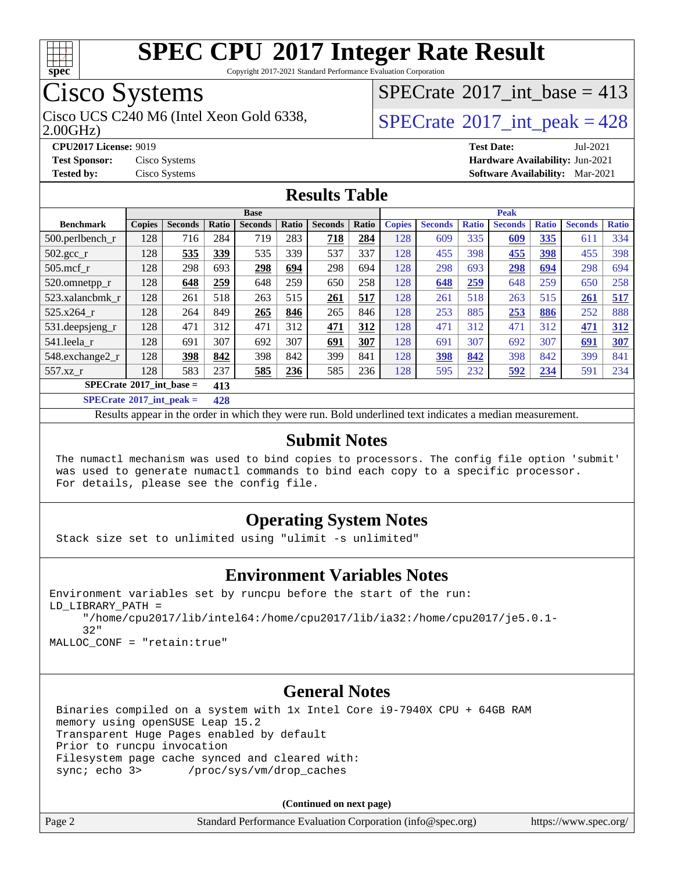

Copyright 2017-2021 Standard Performance Evaluation Corporation

### Cisco Systems

Cisco UCS C240 M6 (Intel Xeon Gold 6338,  $SPECrate^{\circ}2017\_int\_peak = 428$  $SPECrate^{\circ}2017\_int\_peak = 428$ 

 $SPECrate$ <sup>®</sup>[2017\\_int\\_base =](http://www.spec.org/auto/cpu2017/Docs/result-fields.html#SPECrate2017intbase) 413

2.00GHz)

**[Tested by:](http://www.spec.org/auto/cpu2017/Docs/result-fields.html#Testedby)** Cisco Systems **[Software Availability:](http://www.spec.org/auto/cpu2017/Docs/result-fields.html#SoftwareAvailability)** Mar-2021

**[CPU2017 License:](http://www.spec.org/auto/cpu2017/Docs/result-fields.html#CPU2017License)** 9019 **[Test Date:](http://www.spec.org/auto/cpu2017/Docs/result-fields.html#TestDate)** Jul-2021 **[Test Sponsor:](http://www.spec.org/auto/cpu2017/Docs/result-fields.html#TestSponsor)** Cisco Systems **[Hardware Availability:](http://www.spec.org/auto/cpu2017/Docs/result-fields.html#HardwareAvailability)** Jun-2021

#### **[Results Table](http://www.spec.org/auto/cpu2017/Docs/result-fields.html#ResultsTable)**

|                                                    | <b>Base</b>                              |                |       |                |            | <b>Peak</b>    |       |               |                |              |                |              |                |              |
|----------------------------------------------------|------------------------------------------|----------------|-------|----------------|------------|----------------|-------|---------------|----------------|--------------|----------------|--------------|----------------|--------------|
| <b>Benchmark</b>                                   | <b>Copies</b>                            | <b>Seconds</b> | Ratio | <b>Seconds</b> | Ratio      | <b>Seconds</b> | Ratio | <b>Copies</b> | <b>Seconds</b> | <b>Ratio</b> | <b>Seconds</b> | <b>Ratio</b> | <b>Seconds</b> | <b>Ratio</b> |
| 500.perlbench_r                                    | 128                                      | 716            | 284   | 719            | 283        | 718            | 284   | 128           | 609            | 335          | 609            | 335          | 611            | 334          |
| $502.\text{sec}$                                   | 128                                      | 535            | 339   | 535            | 339        | 537            | 337   | 128           | 455            | 398          | 455            | 398          | 455            | 398          |
| $505$ .mcf r                                       | 128                                      | 298            | 693   | 298            | 694        | 298            | 694   | 128           | 298            | 693          | <u>298</u>     | 694          | 298            | 694          |
| 520.omnetpp_r                                      | 128                                      | 648            | 259   | 648            | 259        | 650            | 258   | 128           | 648            | 259          | 648            | 259          | 650            | 258          |
| 523.xalancbmk_r                                    | 128                                      | 261            | 518   | 263            | 515        | 261            | 517   | 128           | 261            | 518          | 263            | 515          | 261            | 517          |
| 525.x264 r                                         | 128                                      | 264            | 849   | 265            | 846        | 265            | 846   | 128           | 253            | 885          | 253            | 886          | 252            | 888          |
| 531.deepsjeng_r                                    | 128                                      | 471            | 312   | 471            | 312        | 471            | 312   | 128           | 471            | 312          | 471            | 312          | 471            | 312          |
| 541.leela_r                                        | 128                                      | 691            | 307   | 692            | 307        | 691            | 307   | 128           | 691            | 307          | 692            | 307          | 691            | 307          |
| 548.exchange2_r                                    | 128                                      | 398            | 842   | 398            | 842        | 399            | 841   | 128           | 398            | 842          | 398            | 842          | 399            | 841          |
| 557.xz r                                           | 128                                      | 583            | 237   | 585            | <u>236</u> | 585            | 236   | 128           | 595            | 232          | 592            | 234          | 591            | 234          |
|                                                    | $SPECrate^{\circ}2017$ int base =<br>413 |                |       |                |            |                |       |               |                |              |                |              |                |              |
| $CDFC_{\text{mod}}\sqrt{017}$ int nools $-$<br>120 |                                          |                |       |                |            |                |       |               |                |              |                |              |                |              |

**[SPECrate](http://www.spec.org/auto/cpu2017/Docs/result-fields.html#SPECrate2017intpeak)[2017\\_int\\_peak =](http://www.spec.org/auto/cpu2017/Docs/result-fields.html#SPECrate2017intpeak) 428**

Results appear in the [order in which they were run](http://www.spec.org/auto/cpu2017/Docs/result-fields.html#RunOrder). Bold underlined text [indicates a median measurement](http://www.spec.org/auto/cpu2017/Docs/result-fields.html#Median).

#### **[Submit Notes](http://www.spec.org/auto/cpu2017/Docs/result-fields.html#SubmitNotes)**

 The numactl mechanism was used to bind copies to processors. The config file option 'submit' was used to generate numactl commands to bind each copy to a specific processor. For details, please see the config file.

### **[Operating System Notes](http://www.spec.org/auto/cpu2017/Docs/result-fields.html#OperatingSystemNotes)**

Stack size set to unlimited using "ulimit -s unlimited"

#### **[Environment Variables Notes](http://www.spec.org/auto/cpu2017/Docs/result-fields.html#EnvironmentVariablesNotes)**

```
Environment variables set by runcpu before the start of the run:
LD_LIBRARY_PATH =
      "/home/cpu2017/lib/intel64:/home/cpu2017/lib/ia32:/home/cpu2017/je5.0.1-
      32"
```
MALLOC\_CONF = "retain:true"

#### **[General Notes](http://www.spec.org/auto/cpu2017/Docs/result-fields.html#GeneralNotes)**

 Binaries compiled on a system with 1x Intel Core i9-7940X CPU + 64GB RAM memory using openSUSE Leap 15.2 Transparent Huge Pages enabled by default Prior to runcpu invocation Filesystem page cache synced and cleared with: sync; echo 3> /proc/sys/vm/drop\_caches

**(Continued on next page)**

| Page 2<br>Standard Performance Evaluation Corporation (info@spec.org) | https://www.spec.org/ |
|-----------------------------------------------------------------------|-----------------------|
|-----------------------------------------------------------------------|-----------------------|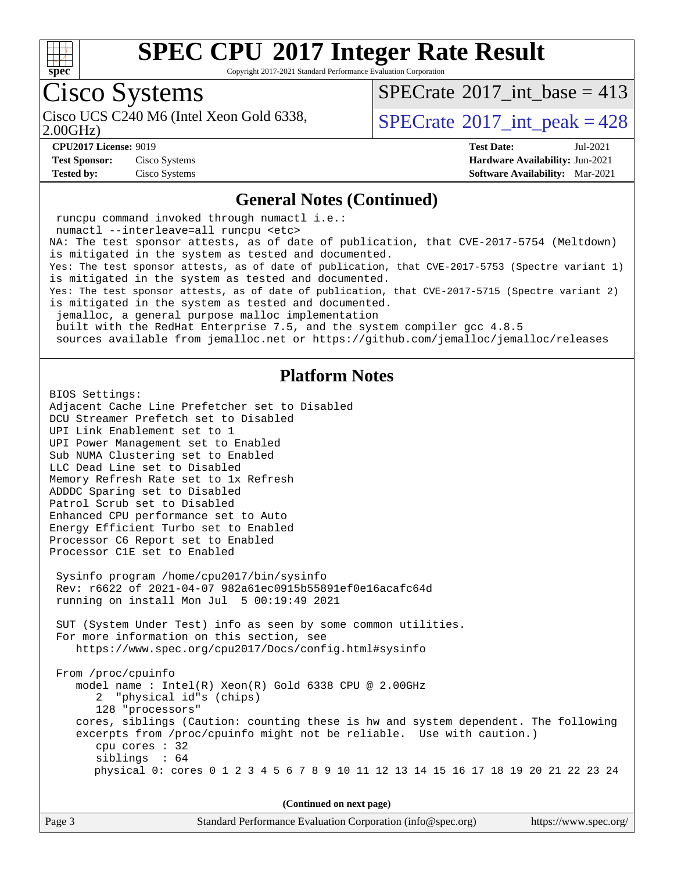

Copyright 2017-2021 Standard Performance Evaluation Corporation

# Cisco Systems

2.00GHz)

 $SPECTate$ <sup>®</sup>[2017\\_int\\_base =](http://www.spec.org/auto/cpu2017/Docs/result-fields.html#SPECrate2017intbase) 413

Cisco UCS C240 M6 (Intel Xeon Gold 6338,  $SPECrate^{\circ}2017\_int\_peak = 428$  $SPECrate^{\circ}2017\_int\_peak = 428$ 

**[Test Sponsor:](http://www.spec.org/auto/cpu2017/Docs/result-fields.html#TestSponsor)** Cisco Systems **[Hardware Availability:](http://www.spec.org/auto/cpu2017/Docs/result-fields.html#HardwareAvailability)** Jun-2021

**[CPU2017 License:](http://www.spec.org/auto/cpu2017/Docs/result-fields.html#CPU2017License)** 9019 **[Test Date:](http://www.spec.org/auto/cpu2017/Docs/result-fields.html#TestDate)** Jul-2021 **[Tested by:](http://www.spec.org/auto/cpu2017/Docs/result-fields.html#Testedby)** Cisco Systems **[Software Availability:](http://www.spec.org/auto/cpu2017/Docs/result-fields.html#SoftwareAvailability)** Mar-2021

#### **[General Notes \(Continued\)](http://www.spec.org/auto/cpu2017/Docs/result-fields.html#GeneralNotes)**

 runcpu command invoked through numactl i.e.: numactl --interleave=all runcpu <etc> NA: The test sponsor attests, as of date of publication, that CVE-2017-5754 (Meltdown) is mitigated in the system as tested and documented. Yes: The test sponsor attests, as of date of publication, that CVE-2017-5753 (Spectre variant 1) is mitigated in the system as tested and documented. Yes: The test sponsor attests, as of date of publication, that CVE-2017-5715 (Spectre variant 2) is mitigated in the system as tested and documented. jemalloc, a general purpose malloc implementation built with the RedHat Enterprise 7.5, and the system compiler gcc 4.8.5 sources available from jemalloc.net or<https://github.com/jemalloc/jemalloc/releases> **[Platform Notes](http://www.spec.org/auto/cpu2017/Docs/result-fields.html#PlatformNotes)** BIOS Settings: Adjacent Cache Line Prefetcher set to Disabled DCU Streamer Prefetch set to Disabled UPI Link Enablement set to 1 UPI Power Management set to Enabled Sub NUMA Clustering set to Enabled LLC Dead Line set to Disabled Memory Refresh Rate set to 1x Refresh ADDDC Sparing set to Disabled Patrol Scrub set to Disabled Enhanced CPU performance set to Auto Energy Efficient Turbo set to Enabled Processor C6 Report set to Enabled Processor C1E set to Enabled Sysinfo program /home/cpu2017/bin/sysinfo Rev: r6622 of 2021-04-07 982a61ec0915b55891ef0e16acafc64d running on install Mon Jul 5 00:19:49 2021 SUT (System Under Test) info as seen by some common utilities. For more information on this section, see <https://www.spec.org/cpu2017/Docs/config.html#sysinfo> From /proc/cpuinfo model name : Intel(R) Xeon(R) Gold 6338 CPU @ 2.00GHz 2 "physical id"s (chips) 128 "processors" cores, siblings (Caution: counting these is hw and system dependent. The following excerpts from /proc/cpuinfo might not be reliable. Use with caution.) cpu cores : 32 siblings : 64 physical 0: cores 0 1 2 3 4 5 6 7 8 9 10 11 12 13 14 15 16 17 18 19 20 21 22 23 24 **(Continued on next page)**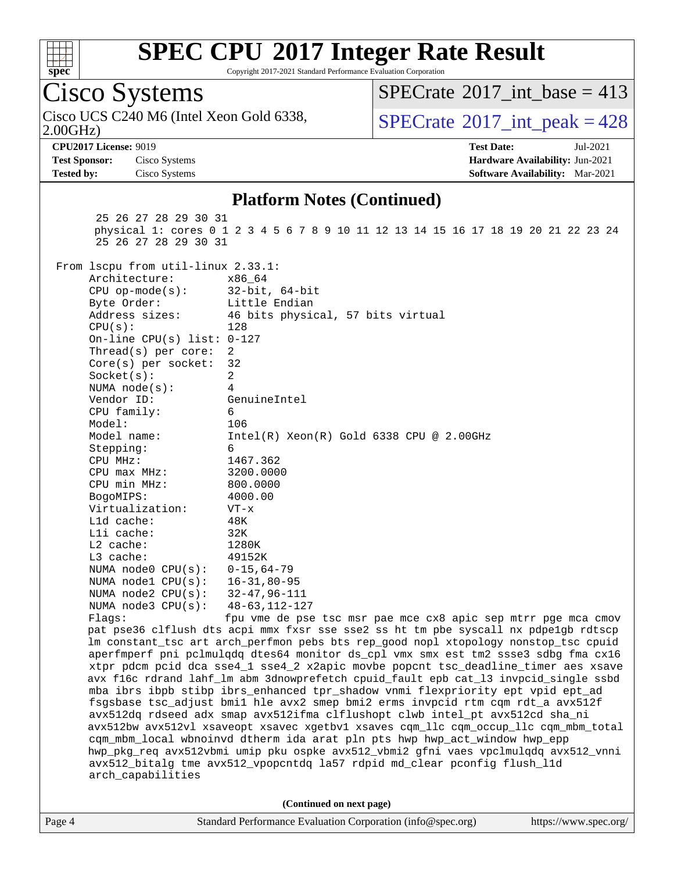

Copyright 2017-2021 Standard Performance Evaluation Corporation

Cisco Systems 2.00GHz) Cisco UCS C240 M6 (Intel Xeon Gold 6338,  $SPECrate^{\circ}2017\_int\_peak = 428$  $SPECrate^{\circ}2017\_int\_peak = 428$  $SPECTate$ <sup>®</sup>[2017\\_int\\_base =](http://www.spec.org/auto/cpu2017/Docs/result-fields.html#SPECrate2017intbase) 413 **[CPU2017 License:](http://www.spec.org/auto/cpu2017/Docs/result-fields.html#CPU2017License)** 9019 **[Test Date:](http://www.spec.org/auto/cpu2017/Docs/result-fields.html#TestDate)** Jul-2021 **[Test Sponsor:](http://www.spec.org/auto/cpu2017/Docs/result-fields.html#TestSponsor)** Cisco Systems **[Hardware Availability:](http://www.spec.org/auto/cpu2017/Docs/result-fields.html#HardwareAvailability)** Jun-2021 **[Tested by:](http://www.spec.org/auto/cpu2017/Docs/result-fields.html#Testedby)** Cisco Systems **[Software Availability:](http://www.spec.org/auto/cpu2017/Docs/result-fields.html#SoftwareAvailability)** Mar-2021 **[Platform Notes \(Continued\)](http://www.spec.org/auto/cpu2017/Docs/result-fields.html#PlatformNotes)** 25 26 27 28 29 30 31 physical 1: cores 0 1 2 3 4 5 6 7 8 9 10 11 12 13 14 15 16 17 18 19 20 21 22 23 24 25 26 27 28 29 30 31 From lscpu from util-linux 2.33.1: Architecture: x86\_64 CPU op-mode(s): 32-bit, 64-bit Byte Order: Little Endian Address sizes: 46 bits physical, 57 bits virtual CPU(s): 128 On-line CPU(s) list: 0-127 Thread(s) per core: 2 Core(s) per socket: 32 Socket(s): 2 NUMA node(s): 4 Vendor ID: GenuineIntel CPU family: 6 Model: 106 Model name: Intel(R) Xeon(R) Gold 6338 CPU @ 2.00GHz Stepping: 6 CPU MHz: 1467.362 CPU max MHz: 3200.0000 CPU min MHz: 800.0000 BogoMIPS: 4000.00 Virtualization: VT-x L1d cache: 48K L1i cache: 32K L2 cache: 1280K L3 cache: 49152K NUMA node0 CPU(s): 0-15,64-79<br>NUMA node1 CPU(s): 16-31,80-95 NUMA node1 CPU(s): NUMA node2 CPU(s): 32-47,96-111 NUMA node3 CPU(s): 48-63,112-127 Flags: fpu vme de pse tsc msr pae mce cx8 apic sep mtrr pge mca cmov pat pse36 clflush dts acpi mmx fxsr sse sse2 ss ht tm pbe syscall nx pdpe1gb rdtscp lm constant\_tsc art arch\_perfmon pebs bts rep\_good nopl xtopology nonstop\_tsc cpuid aperfmperf pni pclmulqdq dtes64 monitor ds\_cpl vmx smx est tm2 ssse3 sdbg fma cx16 xtpr pdcm pcid dca sse4\_1 sse4\_2 x2apic movbe popcnt tsc\_deadline\_timer aes xsave avx f16c rdrand lahf\_lm abm 3dnowprefetch cpuid\_fault epb cat\_l3 invpcid\_single ssbd mba ibrs ibpb stibp ibrs\_enhanced tpr\_shadow vnmi flexpriority ept vpid ept\_ad fsgsbase tsc\_adjust bmi1 hle avx2 smep bmi2 erms invpcid rtm cqm rdt\_a avx512f avx512dq rdseed adx smap avx512ifma clflushopt clwb intel\_pt avx512cd sha\_ni avx512bw avx512vl xsaveopt xsavec xgetbv1 xsaves cqm\_llc cqm\_occup\_llc cqm\_mbm\_total cqm\_mbm\_local wbnoinvd dtherm ida arat pln pts hwp hwp\_act\_window hwp\_epp hwp\_pkg\_req avx512vbmi umip pku ospke avx512\_vbmi2 gfni vaes vpclmulqdq avx512\_vnni avx512\_bitalg tme avx512\_vpopcntdq la57 rdpid md\_clear pconfig flush\_l1d arch\_capabilities **(Continued on next page)**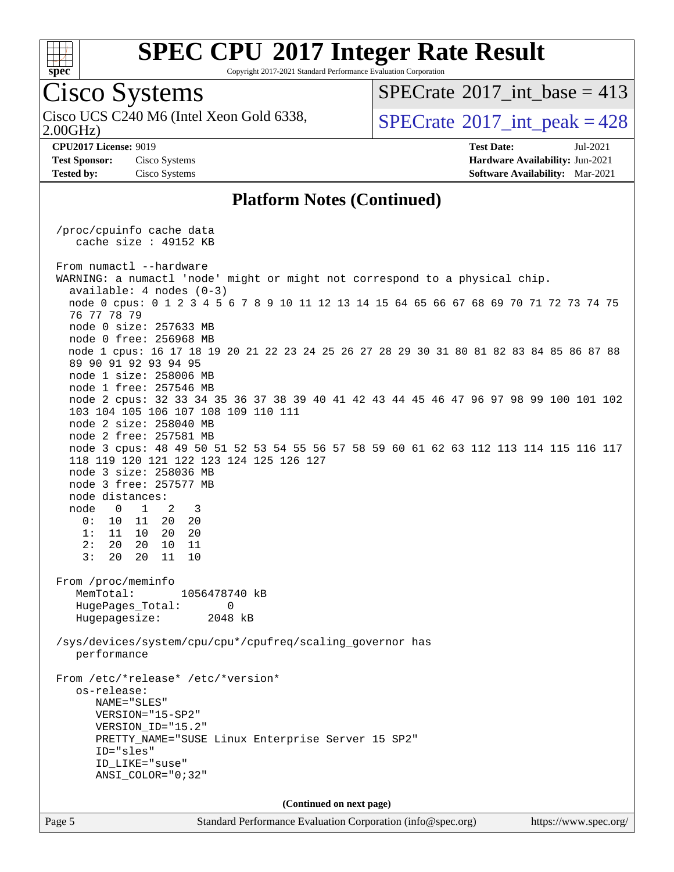

Copyright 2017-2021 Standard Performance Evaluation Corporation

### Cisco Systems

2.00GHz) Cisco UCS C240 M6 (Intel Xeon Gold 6338,  $SPECrate^{\circ}2017\_int\_peak = 428$  $SPECrate^{\circ}2017\_int\_peak = 428$ 

 $SPECTate$ <sup>®</sup>[2017\\_int\\_base =](http://www.spec.org/auto/cpu2017/Docs/result-fields.html#SPECrate2017intbase) 413

**[Test Sponsor:](http://www.spec.org/auto/cpu2017/Docs/result-fields.html#TestSponsor)** Cisco Systems **[Hardware Availability:](http://www.spec.org/auto/cpu2017/Docs/result-fields.html#HardwareAvailability)** Jun-2021

**[CPU2017 License:](http://www.spec.org/auto/cpu2017/Docs/result-fields.html#CPU2017License)** 9019 **[Test Date:](http://www.spec.org/auto/cpu2017/Docs/result-fields.html#TestDate)** Jul-2021 **[Tested by:](http://www.spec.org/auto/cpu2017/Docs/result-fields.html#Testedby)** Cisco Systems **[Software Availability:](http://www.spec.org/auto/cpu2017/Docs/result-fields.html#SoftwareAvailability)** Mar-2021

#### **[Platform Notes \(Continued\)](http://www.spec.org/auto/cpu2017/Docs/result-fields.html#PlatformNotes)**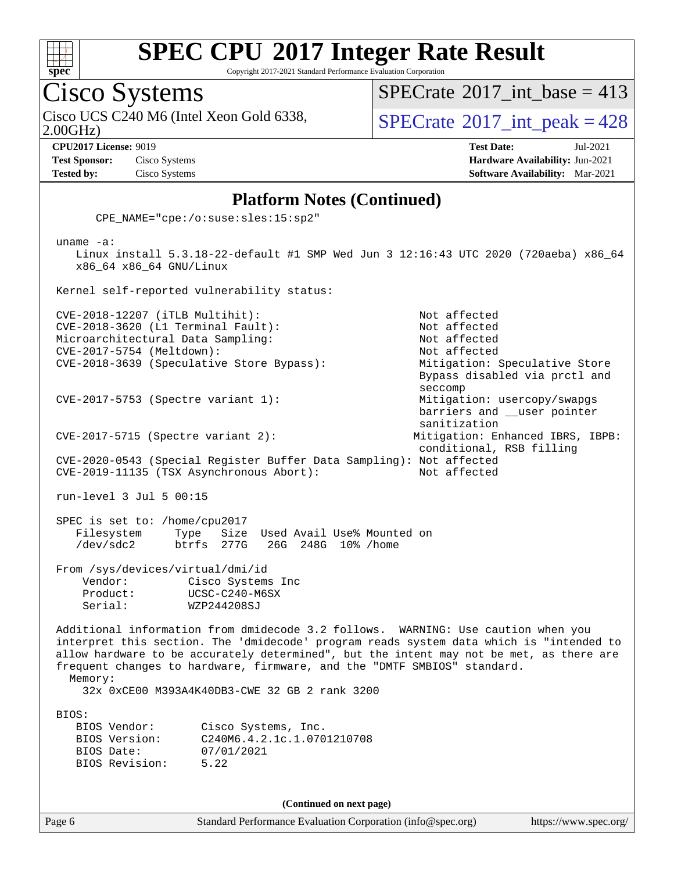

Copyright 2017-2021 Standard Performance Evaluation Corporation

Cisco Systems

 $SPECrate$ <sup>®</sup>[2017\\_int\\_base =](http://www.spec.org/auto/cpu2017/Docs/result-fields.html#SPECrate2017intbase) 413

Cisco UCS C240 M6 (Intel Xeon Gold 6338,  $SPECrate^{\circ}2017\_int\_peak = 428$  $SPECrate^{\circ}2017\_int\_peak = 428$ 

2.00GHz)

**[Test Sponsor:](http://www.spec.org/auto/cpu2017/Docs/result-fields.html#TestSponsor)** Cisco Systems **[Hardware Availability:](http://www.spec.org/auto/cpu2017/Docs/result-fields.html#HardwareAvailability)** Jun-2021

**[CPU2017 License:](http://www.spec.org/auto/cpu2017/Docs/result-fields.html#CPU2017License)** 9019 **[Test Date:](http://www.spec.org/auto/cpu2017/Docs/result-fields.html#TestDate)** Jul-2021 **[Tested by:](http://www.spec.org/auto/cpu2017/Docs/result-fields.html#Testedby)** Cisco Systems **[Software Availability:](http://www.spec.org/auto/cpu2017/Docs/result-fields.html#SoftwareAvailability)** Mar-2021

#### **[Platform Notes \(Continued\)](http://www.spec.org/auto/cpu2017/Docs/result-fields.html#PlatformNotes)**

CPE\_NAME="cpe:/o:suse:sles:15:sp2"

 uname -a: Linux install 5.3.18-22-default #1 SMP Wed Jun 3 12:16:43 UTC 2020 (720aeba) x86\_64 x86\_64 x86\_64 GNU/Linux Kernel self-reported vulnerability status: CVE-2018-12207 (iTLB Multihit): Not affected CVE-2018-3620 (L1 Terminal Fault): Not affected Microarchitectural Data Sampling: Not affected CVE-2017-5754 (Meltdown): Not affected CVE-2018-3639 (Speculative Store Bypass): Mitigation: Speculative Store Bypass disabled via prctl and seccomp CVE-2017-5753 (Spectre variant 1): Mitigation: usercopy/swapgs barriers and \_\_user pointer sanitization CVE-2017-5715 (Spectre variant 2): Mitigation: Enhanced IBRS, IBPB: conditional, RSB filling CVE-2020-0543 (Special Register Buffer Data Sampling): Not affected CVE-2019-11135 (TSX Asynchronous Abort): Not affected run-level 3 Jul 5 00:15 SPEC is set to: /home/cpu2017 Filesystem Type Size Used Avail Use% Mounted on<br>
/dev/sdc2 btrfs 277G 26G 248G 10% /home /dev/sdc2 btrfs 277G 26G 248G 10% /home From /sys/devices/virtual/dmi/id Vendor: Cisco Systems Inc Product: UCSC-C240-M6SX Serial: WZP244208SJ Additional information from dmidecode 3.2 follows. WARNING: Use caution when you interpret this section. The 'dmidecode' program reads system data which is "intended to allow hardware to be accurately determined", but the intent may not be met, as there are frequent changes to hardware, firmware, and the "DMTF SMBIOS" standard. Memory: 32x 0xCE00 M393A4K40DB3-CWE 32 GB 2 rank 3200 BIOS: BIOS Vendor: Cisco Systems, Inc. BIOS Version: C240M6.4.2.1c.1.0701210708 BIOS Date: 07/01/2021 BIOS Revision: 5.22 **(Continued on next page)**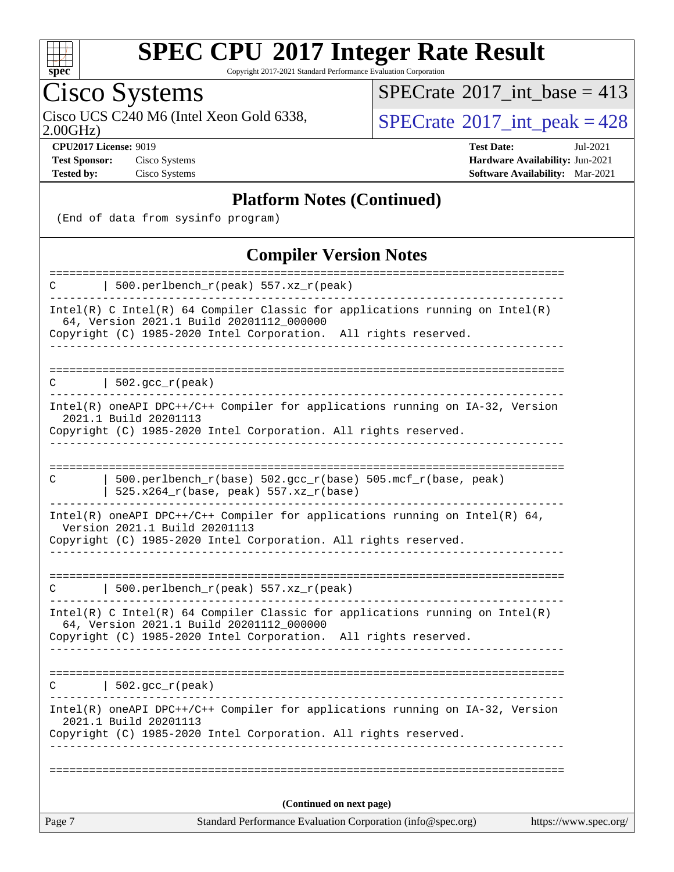

Copyright 2017-2021 Standard Performance Evaluation Corporation

# Cisco Systems

2.00GHz)

 $SPECrate$ <sup>®</sup>[2017\\_int\\_base =](http://www.spec.org/auto/cpu2017/Docs/result-fields.html#SPECrate2017intbase) 413

Cisco UCS C240 M6 (Intel Xeon Gold 6338,  $\text{SPECrate} \textcircled{\,} 2017\_int\_peak = 428$  $\text{SPECrate} \textcircled{\,} 2017\_int\_peak = 428$  $\text{SPECrate} \textcircled{\,} 2017\_int\_peak = 428$ 

**[Test Sponsor:](http://www.spec.org/auto/cpu2017/Docs/result-fields.html#TestSponsor)** Cisco Systems **[Hardware Availability:](http://www.spec.org/auto/cpu2017/Docs/result-fields.html#HardwareAvailability)** Jun-2021

**[CPU2017 License:](http://www.spec.org/auto/cpu2017/Docs/result-fields.html#CPU2017License)** 9019 **[Test Date:](http://www.spec.org/auto/cpu2017/Docs/result-fields.html#TestDate)** Jul-2021 **[Tested by:](http://www.spec.org/auto/cpu2017/Docs/result-fields.html#Testedby)** Cisco Systems **[Software Availability:](http://www.spec.org/auto/cpu2017/Docs/result-fields.html#SoftwareAvailability)** Mar-2021

#### **[Platform Notes \(Continued\)](http://www.spec.org/auto/cpu2017/Docs/result-fields.html#PlatformNotes)**

(End of data from sysinfo program)

#### **[Compiler Version Notes](http://www.spec.org/auto/cpu2017/Docs/result-fields.html#CompilerVersionNotes)**

| Standard Performance Evaluation Corporation (info@spec.org)<br>Page 7                                                                                                                         | https://www.spec.org/ |
|-----------------------------------------------------------------------------------------------------------------------------------------------------------------------------------------------|-----------------------|
| (Continued on next page)                                                                                                                                                                      |                       |
|                                                                                                                                                                                               |                       |
| Intel(R) oneAPI DPC++/C++ Compiler for applications running on IA-32, Version<br>2021.1 Build 20201113<br>Copyright (C) 1985-2020 Intel Corporation. All rights reserved.                     |                       |
| $\vert$ 502.gcc_r(peak)<br>C<br>______________                                                                                                                                                |                       |
|                                                                                                                                                                                               |                       |
| $Intel(R)$ C Intel(R) 64 Compiler Classic for applications running on Intel(R)<br>64, Version 2021.1 Build 20201112_000000<br>Copyright (C) 1985-2020 Intel Corporation. All rights reserved. |                       |
| 500.perlbench_r(peak) 557.xz_r(peak)<br>C<br>----------------                                                                                                                                 |                       |
|                                                                                                                                                                                               |                       |
| Version 2021.1 Build 20201113<br>Copyright (C) 1985-2020 Intel Corporation. All rights reserved.                                                                                              |                       |
| Intel(R) oneAPI DPC++/C++ Compiler for applications running on Intel(R) $64$ ,                                                                                                                |                       |
| $500.$ perlbench $r(base) 502.$ gcc $r(base) 505.$ mcf $r(base, peak)$<br>C<br>525.x264_r(base, peak) 557.xz_r(base)                                                                          |                       |
|                                                                                                                                                                                               |                       |
| Intel(R) oneAPI DPC++/C++ Compiler for applications running on IA-32, Version<br>2021.1 Build 20201113<br>Copyright (C) 1985-2020 Intel Corporation. All rights reserved.                     |                       |
| 502.gcc_r(peak)<br>C                                                                                                                                                                          |                       |
| Copyright (C) 1985-2020 Intel Corporation. All rights reserved.<br>_________________                                                                                                          |                       |
| Intel(R) C Intel(R) 64 Compiler Classic for applications running on Intel(R)<br>64, Version 2021.1 Build 20201112_000000                                                                      |                       |
| 500.perlbench_r(peak) 557.xz_r(peak)<br>C                                                                                                                                                     |                       |
| =====================<br>=================                                                                                                                                                    |                       |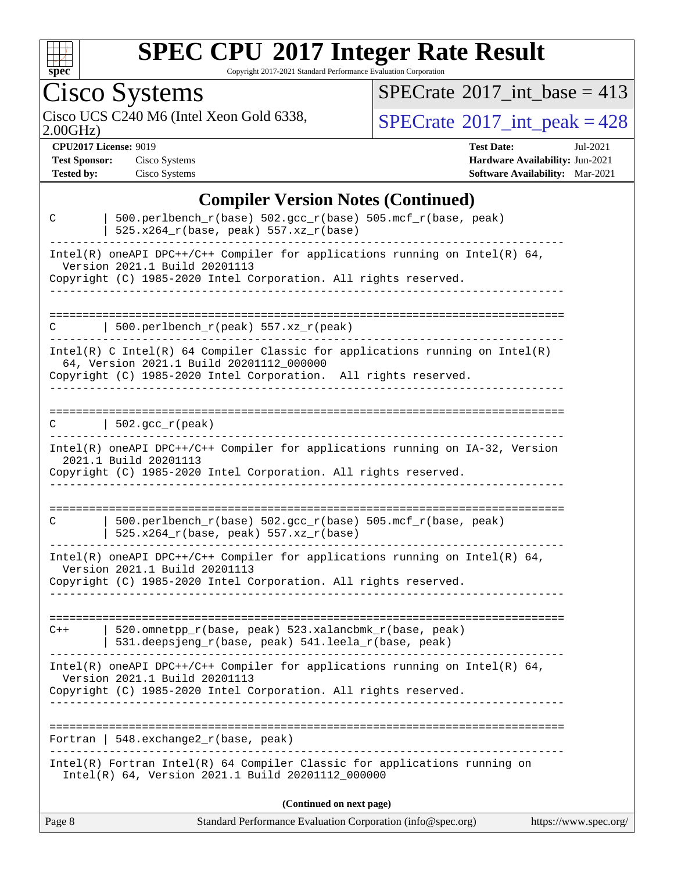

Copyright 2017-2021 Standard Performance Evaluation Corporation

Cisco Systems<br>Cisco UCS C240 M6 (Intel Xeon Gold 6338,

2.00GHz)

 $SPECrate$ <sup>®</sup>[2017\\_int\\_base =](http://www.spec.org/auto/cpu2017/Docs/result-fields.html#SPECrate2017intbase) 413

 $SPECTate<sup>®</sup>2017_int_peak = 428$  $SPECTate<sup>®</sup>2017_int_peak = 428$  $SPECTate<sup>®</sup>2017_int_peak = 428$ 

**[CPU2017 License:](http://www.spec.org/auto/cpu2017/Docs/result-fields.html#CPU2017License)** 9019 **[Test Date:](http://www.spec.org/auto/cpu2017/Docs/result-fields.html#TestDate)** Jul-2021

**[Test Sponsor:](http://www.spec.org/auto/cpu2017/Docs/result-fields.html#TestSponsor)** Cisco Systems **[Hardware Availability:](http://www.spec.org/auto/cpu2017/Docs/result-fields.html#HardwareAvailability)** Jun-2021 **[Tested by:](http://www.spec.org/auto/cpu2017/Docs/result-fields.html#Testedby)** Cisco Systems **[Software Availability:](http://www.spec.org/auto/cpu2017/Docs/result-fields.html#SoftwareAvailability)** Mar-2021

|        | <b>Compiler Version Notes (Continued)</b>                                                                                                                                                     |                       |
|--------|-----------------------------------------------------------------------------------------------------------------------------------------------------------------------------------------------|-----------------------|
| C      | 500.perlbench_r(base) 502.gcc_r(base) 505.mcf_r(base, peak)<br>525.x264_r(base, peak) 557.xz_r(base)                                                                                          |                       |
|        | $Intel(R)$ oneAPI DPC++/C++ Compiler for applications running on Intel(R) 64,<br>Version 2021.1 Build 20201113<br>Copyright (C) 1985-2020 Intel Corporation. All rights reserved.             |                       |
| C      | 500.perlbench_r(peak) 557.xz_r(peak)                                                                                                                                                          |                       |
|        | $Intel(R)$ C Intel(R) 64 Compiler Classic for applications running on Intel(R)<br>64, Version 2021.1 Build 20201112_000000<br>Copyright (C) 1985-2020 Intel Corporation. All rights reserved. |                       |
| C      | $\vert$ 502.gcc_r(peak)                                                                                                                                                                       |                       |
|        | Intel(R) oneAPI DPC++/C++ Compiler for applications running on IA-32, Version<br>2021.1 Build 20201113<br>Copyright (C) 1985-2020 Intel Corporation. All rights reserved.                     |                       |
|        |                                                                                                                                                                                               |                       |
| C      | 500.perlbench_r(base) 502.gcc_r(base) 505.mcf_r(base, peak)<br>$525.x264_r(base, peak) 557.xz_r(base)$                                                                                        |                       |
|        | $Intel(R)$ oneAPI DPC++/C++ Compiler for applications running on Intel(R) 64,<br>Version 2021.1 Build 20201113<br>Copyright (C) 1985-2020 Intel Corporation. All rights reserved.             |                       |
|        | =====================================                                                                                                                                                         |                       |
| $C++$  | 520.omnetpp_r(base, peak) 523.xalancbmk_r(base, peak)<br>531.deepsjeng_r(base, peak) 541.leela_r(base, peak)                                                                                  |                       |
|        | Intel(R) oneAPI DPC++/C++ Compiler for applications running on Intel(R) $64$ ,<br>Version 2021.1 Build 20201113<br>Copyright (C) 1985-2020 Intel Corporation. All rights reserved.            |                       |
|        |                                                                                                                                                                                               |                       |
|        | Fortran   $548$ . exchange $2_r$ (base, peak)                                                                                                                                                 |                       |
|        | Intel(R) Fortran Intel(R) 64 Compiler Classic for applications running on<br>Intel(R) 64, Version 2021.1 Build 20201112_000000                                                                |                       |
|        | (Continued on next page)                                                                                                                                                                      |                       |
| Page 8 | Standard Performance Evaluation Corporation (info@spec.org)                                                                                                                                   | https://www.spec.org/ |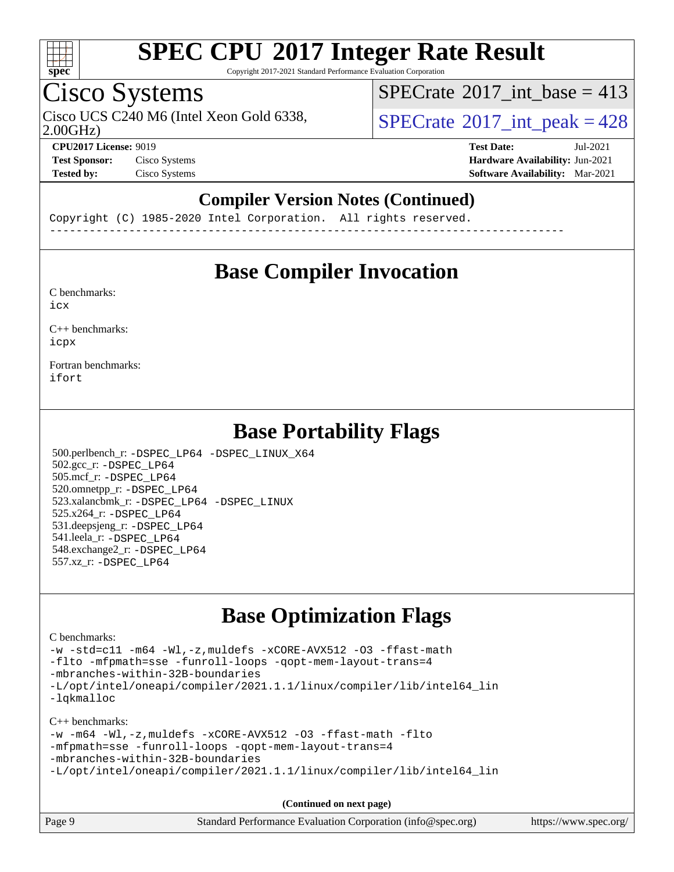

Copyright 2017-2021 Standard Performance Evaluation Corporation

## Cisco Systems

 $SPECTate@2017_int\_base = 413$ 

Cisco UCS C240 M6 (Intel Xeon Gold 6338,  $SPECrate^{\circ}2017\_int\_peak = 428$  $SPECrate^{\circ}2017\_int\_peak = 428$ 

2.00GHz)

**[CPU2017 License:](http://www.spec.org/auto/cpu2017/Docs/result-fields.html#CPU2017License)** 9019 **[Test Date:](http://www.spec.org/auto/cpu2017/Docs/result-fields.html#TestDate)** Jul-2021 **[Test Sponsor:](http://www.spec.org/auto/cpu2017/Docs/result-fields.html#TestSponsor)** Cisco Systems **[Hardware Availability:](http://www.spec.org/auto/cpu2017/Docs/result-fields.html#HardwareAvailability)** Jun-2021 **[Tested by:](http://www.spec.org/auto/cpu2017/Docs/result-fields.html#Testedby)** Cisco Systems **[Software Availability:](http://www.spec.org/auto/cpu2017/Docs/result-fields.html#SoftwareAvailability)** Mar-2021

### **[Compiler Version Notes \(Continued\)](http://www.spec.org/auto/cpu2017/Docs/result-fields.html#CompilerVersionNotes)**

Copyright (C) 1985-2020 Intel Corporation. All rights reserved. ------------------------------------------------------------------------------

### **[Base Compiler Invocation](http://www.spec.org/auto/cpu2017/Docs/result-fields.html#BaseCompilerInvocation)**

[C benchmarks](http://www.spec.org/auto/cpu2017/Docs/result-fields.html#Cbenchmarks): [icx](http://www.spec.org/cpu2017/results/res2021q3/cpu2017-20210720-28402.flags.html#user_CCbase_intel_icx_fe2d28d19ae2a5db7c42fe0f2a2aed77cb715edd4aeb23434404a8be6683fe239869bb6ca8154ca98265c2e3b9226a719a0efe2953a4a7018c379b7010ccf087)

[C++ benchmarks:](http://www.spec.org/auto/cpu2017/Docs/result-fields.html#CXXbenchmarks) [icpx](http://www.spec.org/cpu2017/results/res2021q3/cpu2017-20210720-28402.flags.html#user_CXXbase_intel_icpx_1e918ed14c436bf4b9b7c8bcdd51d4539fc71b3df010bd1e9f8732d9c34c2b2914e48204a846820f3c0ebb4095dea797a5c30b458ac0b6dffac65d78f781f5ca)

[Fortran benchmarks](http://www.spec.org/auto/cpu2017/Docs/result-fields.html#Fortranbenchmarks): [ifort](http://www.spec.org/cpu2017/results/res2021q3/cpu2017-20210720-28402.flags.html#user_FCbase_intel_ifort_8111460550e3ca792625aed983ce982f94888b8b503583aa7ba2b8303487b4d8a21a13e7191a45c5fd58ff318f48f9492884d4413fa793fd88dd292cad7027ca)

### **[Base Portability Flags](http://www.spec.org/auto/cpu2017/Docs/result-fields.html#BasePortabilityFlags)**

 500.perlbench\_r: [-DSPEC\\_LP64](http://www.spec.org/cpu2017/results/res2021q3/cpu2017-20210720-28402.flags.html#b500.perlbench_r_basePORTABILITY_DSPEC_LP64) [-DSPEC\\_LINUX\\_X64](http://www.spec.org/cpu2017/results/res2021q3/cpu2017-20210720-28402.flags.html#b500.perlbench_r_baseCPORTABILITY_DSPEC_LINUX_X64) 502.gcc\_r: [-DSPEC\\_LP64](http://www.spec.org/cpu2017/results/res2021q3/cpu2017-20210720-28402.flags.html#suite_basePORTABILITY502_gcc_r_DSPEC_LP64) 505.mcf\_r: [-DSPEC\\_LP64](http://www.spec.org/cpu2017/results/res2021q3/cpu2017-20210720-28402.flags.html#suite_basePORTABILITY505_mcf_r_DSPEC_LP64) 520.omnetpp\_r: [-DSPEC\\_LP64](http://www.spec.org/cpu2017/results/res2021q3/cpu2017-20210720-28402.flags.html#suite_basePORTABILITY520_omnetpp_r_DSPEC_LP64) 523.xalancbmk\_r: [-DSPEC\\_LP64](http://www.spec.org/cpu2017/results/res2021q3/cpu2017-20210720-28402.flags.html#suite_basePORTABILITY523_xalancbmk_r_DSPEC_LP64) [-DSPEC\\_LINUX](http://www.spec.org/cpu2017/results/res2021q3/cpu2017-20210720-28402.flags.html#b523.xalancbmk_r_baseCXXPORTABILITY_DSPEC_LINUX) 525.x264\_r: [-DSPEC\\_LP64](http://www.spec.org/cpu2017/results/res2021q3/cpu2017-20210720-28402.flags.html#suite_basePORTABILITY525_x264_r_DSPEC_LP64) 531.deepsjeng\_r: [-DSPEC\\_LP64](http://www.spec.org/cpu2017/results/res2021q3/cpu2017-20210720-28402.flags.html#suite_basePORTABILITY531_deepsjeng_r_DSPEC_LP64) 541.leela\_r: [-DSPEC\\_LP64](http://www.spec.org/cpu2017/results/res2021q3/cpu2017-20210720-28402.flags.html#suite_basePORTABILITY541_leela_r_DSPEC_LP64) 548.exchange2\_r: [-DSPEC\\_LP64](http://www.spec.org/cpu2017/results/res2021q3/cpu2017-20210720-28402.flags.html#suite_basePORTABILITY548_exchange2_r_DSPEC_LP64) 557.xz\_r: [-DSPEC\\_LP64](http://www.spec.org/cpu2017/results/res2021q3/cpu2017-20210720-28402.flags.html#suite_basePORTABILITY557_xz_r_DSPEC_LP64)

### **[Base Optimization Flags](http://www.spec.org/auto/cpu2017/Docs/result-fields.html#BaseOptimizationFlags)**

#### [C benchmarks](http://www.spec.org/auto/cpu2017/Docs/result-fields.html#Cbenchmarks):

[-w](http://www.spec.org/cpu2017/results/res2021q3/cpu2017-20210720-28402.flags.html#user_CCbase_supress_warning_66fb2c4e5c1dd10f38bdd29623979399e5ae75ae6e5453792d82ef66afed381df4a8602f92cac8d2ea0fffa7b93b4b1ccb9ecad4af01c9b2fe338b2082ae3859) [-std=c11](http://www.spec.org/cpu2017/results/res2021q3/cpu2017-20210720-28402.flags.html#user_CCbase_std-icc-std_0e1c27790398a4642dfca32ffe6c27b5796f9c2d2676156f2e42c9c44eaad0c049b1cdb667a270c34d979996257aeb8fc440bfb01818dbc9357bd9d174cb8524) [-m64](http://www.spec.org/cpu2017/results/res2021q3/cpu2017-20210720-28402.flags.html#user_CCbase_m64-icc) [-Wl,-z,muldefs](http://www.spec.org/cpu2017/results/res2021q3/cpu2017-20210720-28402.flags.html#user_CCbase_link_force_multiple1_b4cbdb97b34bdee9ceefcfe54f4c8ea74255f0b02a4b23e853cdb0e18eb4525ac79b5a88067c842dd0ee6996c24547a27a4b99331201badda8798ef8a743f577) [-xCORE-AVX512](http://www.spec.org/cpu2017/results/res2021q3/cpu2017-20210720-28402.flags.html#user_CCbase_f-xCORE-AVX512) [-O3](http://www.spec.org/cpu2017/results/res2021q3/cpu2017-20210720-28402.flags.html#user_CCbase_f-O3) [-ffast-math](http://www.spec.org/cpu2017/results/res2021q3/cpu2017-20210720-28402.flags.html#user_CCbase_f-ffast-math) [-flto](http://www.spec.org/cpu2017/results/res2021q3/cpu2017-20210720-28402.flags.html#user_CCbase_f-flto) [-mfpmath=sse](http://www.spec.org/cpu2017/results/res2021q3/cpu2017-20210720-28402.flags.html#user_CCbase_f-mfpmath_70eb8fac26bde974f8ab713bc9086c5621c0b8d2f6c86f38af0bd7062540daf19db5f3a066d8c6684be05d84c9b6322eb3b5be6619d967835195b93d6c02afa1) [-funroll-loops](http://www.spec.org/cpu2017/results/res2021q3/cpu2017-20210720-28402.flags.html#user_CCbase_f-funroll-loops) [-qopt-mem-layout-trans=4](http://www.spec.org/cpu2017/results/res2021q3/cpu2017-20210720-28402.flags.html#user_CCbase_f-qopt-mem-layout-trans_fa39e755916c150a61361b7846f310bcdf6f04e385ef281cadf3647acec3f0ae266d1a1d22d972a7087a248fd4e6ca390a3634700869573d231a252c784941a8) [-mbranches-within-32B-boundaries](http://www.spec.org/cpu2017/results/res2021q3/cpu2017-20210720-28402.flags.html#user_CCbase_f-mbranches-within-32B-boundaries) [-L/opt/intel/oneapi/compiler/2021.1.1/linux/compiler/lib/intel64\\_lin](http://www.spec.org/cpu2017/results/res2021q3/cpu2017-20210720-28402.flags.html#user_CCbase_linkpath_f3ac96bc44eb3356c66274e76f12ce7989555e6431aa425d8bf37251b5a0a8e4f20d385a762420f3e0cdf627bb737484454017ddfa67f55a42ce17058c8be12d) [-lqkmalloc](http://www.spec.org/cpu2017/results/res2021q3/cpu2017-20210720-28402.flags.html#user_CCbase_qkmalloc_link_lib_79a818439969f771c6bc311cfd333c00fc099dad35c030f5aab9dda831713d2015205805422f83de8875488a2991c0a156aaa600e1f9138f8fc37004abc96dc5)

[C++ benchmarks:](http://www.spec.org/auto/cpu2017/Docs/result-fields.html#CXXbenchmarks)

```
-w -m64 -Wl,-z,muldefs -xCORE-AVX512 -O3 -ffast-math -flto
-mfpmath=sse -funroll-loops -qopt-mem-layout-trans=4
-mbranches-within-32B-boundaries
-L/opt/intel/oneapi/compiler/2021.1.1/linux/compiler/lib/intel64_lin
```
**(Continued on next page)**

| Page 9<br>Standard Performance Evaluation Corporation (info@spec.org)<br>https://www.spec.org/ |
|------------------------------------------------------------------------------------------------|
|------------------------------------------------------------------------------------------------|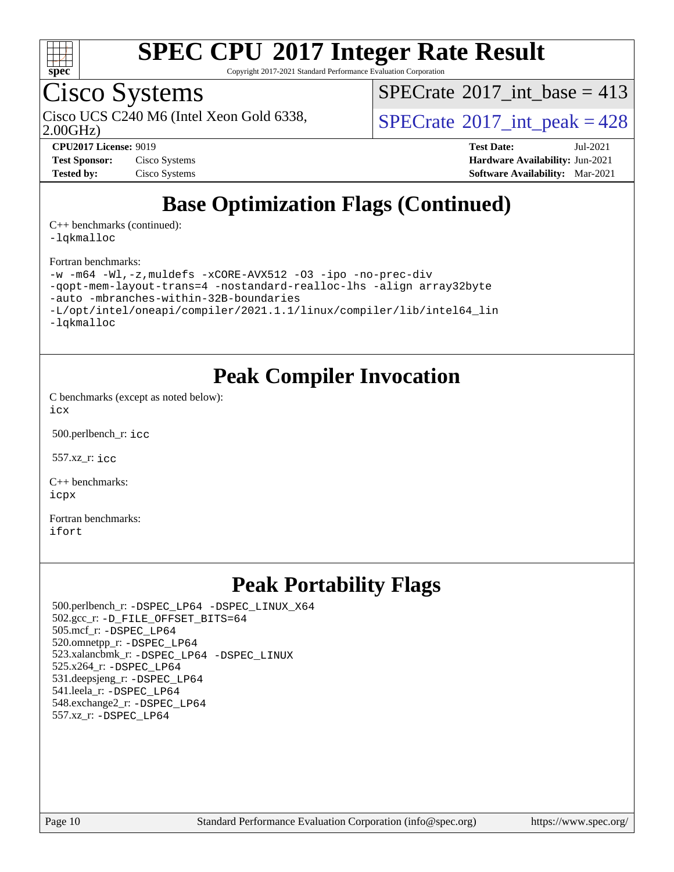

Copyright 2017-2021 Standard Performance Evaluation Corporation

### Cisco Systems

 $SPECTate@2017_int\_base = 413$ 

Cisco UCS C240 M6 (Intel Xeon Gold 6338,  $SPECrate^{\circ}2017\_int\_peak = 428$  $SPECrate^{\circ}2017\_int\_peak = 428$ 

2.00GHz)

**[Test Sponsor:](http://www.spec.org/auto/cpu2017/Docs/result-fields.html#TestSponsor)** Cisco Systems **[Hardware Availability:](http://www.spec.org/auto/cpu2017/Docs/result-fields.html#HardwareAvailability)** Jun-2021 **[Tested by:](http://www.spec.org/auto/cpu2017/Docs/result-fields.html#Testedby)** Cisco Systems **[Software Availability:](http://www.spec.org/auto/cpu2017/Docs/result-fields.html#SoftwareAvailability)** Mar-2021

**[CPU2017 License:](http://www.spec.org/auto/cpu2017/Docs/result-fields.html#CPU2017License)** 9019 **[Test Date:](http://www.spec.org/auto/cpu2017/Docs/result-fields.html#TestDate)** Jul-2021

### **[Base Optimization Flags \(Continued\)](http://www.spec.org/auto/cpu2017/Docs/result-fields.html#BaseOptimizationFlags)**

[C++ benchmarks](http://www.spec.org/auto/cpu2017/Docs/result-fields.html#CXXbenchmarks) (continued): [-lqkmalloc](http://www.spec.org/cpu2017/results/res2021q3/cpu2017-20210720-28402.flags.html#user_CXXbase_qkmalloc_link_lib_79a818439969f771c6bc311cfd333c00fc099dad35c030f5aab9dda831713d2015205805422f83de8875488a2991c0a156aaa600e1f9138f8fc37004abc96dc5)

[Fortran benchmarks](http://www.spec.org/auto/cpu2017/Docs/result-fields.html#Fortranbenchmarks):

```
-w -m64 -Wl,-z,muldefs -xCORE-AVX512 -O3 -ipo -no-prec-div
-qopt-mem-layout-trans=4 -nostandard-realloc-lhs -align array32byte
-auto -mbranches-within-32B-boundaries
-L/opt/intel/oneapi/compiler/2021.1.1/linux/compiler/lib/intel64_lin
-lqkmalloc
```
### **[Peak Compiler Invocation](http://www.spec.org/auto/cpu2017/Docs/result-fields.html#PeakCompilerInvocation)**

[C benchmarks \(except as noted below\)](http://www.spec.org/auto/cpu2017/Docs/result-fields.html#Cbenchmarksexceptasnotedbelow): [icx](http://www.spec.org/cpu2017/results/res2021q3/cpu2017-20210720-28402.flags.html#user_CCpeak_intel_icx_fe2d28d19ae2a5db7c42fe0f2a2aed77cb715edd4aeb23434404a8be6683fe239869bb6ca8154ca98265c2e3b9226a719a0efe2953a4a7018c379b7010ccf087)

500.perlbench\_r: [icc](http://www.spec.org/cpu2017/results/res2021q3/cpu2017-20210720-28402.flags.html#user_peakCCLD500_perlbench_r_intel_icc_66fc1ee009f7361af1fbd72ca7dcefbb700085f36577c54f309893dd4ec40d12360134090235512931783d35fd58c0460139e722d5067c5574d8eaf2b3e37e92)

557.xz\_r: [icc](http://www.spec.org/cpu2017/results/res2021q3/cpu2017-20210720-28402.flags.html#user_peakCCLD557_xz_r_intel_icc_66fc1ee009f7361af1fbd72ca7dcefbb700085f36577c54f309893dd4ec40d12360134090235512931783d35fd58c0460139e722d5067c5574d8eaf2b3e37e92)

[C++ benchmarks:](http://www.spec.org/auto/cpu2017/Docs/result-fields.html#CXXbenchmarks) [icpx](http://www.spec.org/cpu2017/results/res2021q3/cpu2017-20210720-28402.flags.html#user_CXXpeak_intel_icpx_1e918ed14c436bf4b9b7c8bcdd51d4539fc71b3df010bd1e9f8732d9c34c2b2914e48204a846820f3c0ebb4095dea797a5c30b458ac0b6dffac65d78f781f5ca)

[Fortran benchmarks](http://www.spec.org/auto/cpu2017/Docs/result-fields.html#Fortranbenchmarks): [ifort](http://www.spec.org/cpu2017/results/res2021q3/cpu2017-20210720-28402.flags.html#user_FCpeak_intel_ifort_8111460550e3ca792625aed983ce982f94888b8b503583aa7ba2b8303487b4d8a21a13e7191a45c5fd58ff318f48f9492884d4413fa793fd88dd292cad7027ca)

### **[Peak Portability Flags](http://www.spec.org/auto/cpu2017/Docs/result-fields.html#PeakPortabilityFlags)**

 500.perlbench\_r: [-DSPEC\\_LP64](http://www.spec.org/cpu2017/results/res2021q3/cpu2017-20210720-28402.flags.html#b500.perlbench_r_peakPORTABILITY_DSPEC_LP64) [-DSPEC\\_LINUX\\_X64](http://www.spec.org/cpu2017/results/res2021q3/cpu2017-20210720-28402.flags.html#b500.perlbench_r_peakCPORTABILITY_DSPEC_LINUX_X64) 502.gcc\_r: [-D\\_FILE\\_OFFSET\\_BITS=64](http://www.spec.org/cpu2017/results/res2021q3/cpu2017-20210720-28402.flags.html#user_peakPORTABILITY502_gcc_r_file_offset_bits_64_5ae949a99b284ddf4e95728d47cb0843d81b2eb0e18bdfe74bbf0f61d0b064f4bda2f10ea5eb90e1dcab0e84dbc592acfc5018bc955c18609f94ddb8d550002c) 505.mcf\_r: [-DSPEC\\_LP64](http://www.spec.org/cpu2017/results/res2021q3/cpu2017-20210720-28402.flags.html#suite_peakPORTABILITY505_mcf_r_DSPEC_LP64) 520.omnetpp\_r: [-DSPEC\\_LP64](http://www.spec.org/cpu2017/results/res2021q3/cpu2017-20210720-28402.flags.html#suite_peakPORTABILITY520_omnetpp_r_DSPEC_LP64) 523.xalancbmk\_r: [-DSPEC\\_LP64](http://www.spec.org/cpu2017/results/res2021q3/cpu2017-20210720-28402.flags.html#suite_peakPORTABILITY523_xalancbmk_r_DSPEC_LP64) [-DSPEC\\_LINUX](http://www.spec.org/cpu2017/results/res2021q3/cpu2017-20210720-28402.flags.html#b523.xalancbmk_r_peakCXXPORTABILITY_DSPEC_LINUX) 525.x264\_r: [-DSPEC\\_LP64](http://www.spec.org/cpu2017/results/res2021q3/cpu2017-20210720-28402.flags.html#suite_peakPORTABILITY525_x264_r_DSPEC_LP64) 531.deepsjeng\_r: [-DSPEC\\_LP64](http://www.spec.org/cpu2017/results/res2021q3/cpu2017-20210720-28402.flags.html#suite_peakPORTABILITY531_deepsjeng_r_DSPEC_LP64) 541.leela\_r: [-DSPEC\\_LP64](http://www.spec.org/cpu2017/results/res2021q3/cpu2017-20210720-28402.flags.html#suite_peakPORTABILITY541_leela_r_DSPEC_LP64) 548.exchange2\_r: [-DSPEC\\_LP64](http://www.spec.org/cpu2017/results/res2021q3/cpu2017-20210720-28402.flags.html#suite_peakPORTABILITY548_exchange2_r_DSPEC_LP64) 557.xz\_r: [-DSPEC\\_LP64](http://www.spec.org/cpu2017/results/res2021q3/cpu2017-20210720-28402.flags.html#suite_peakPORTABILITY557_xz_r_DSPEC_LP64)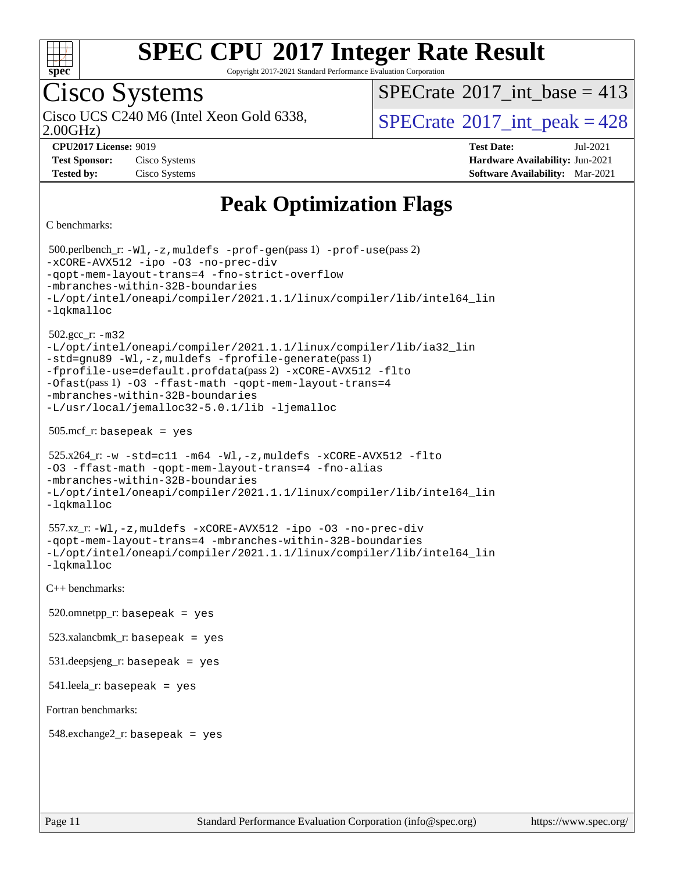

Copyright 2017-2021 Standard Performance Evaluation Corporation

## Cisco Systems

2.00GHz)

 $SPECTate$ <sup>®</sup>[2017\\_int\\_base =](http://www.spec.org/auto/cpu2017/Docs/result-fields.html#SPECrate2017intbase) 413

Cisco UCS C240 M6 (Intel Xeon Gold 6338,  $\vert$ [SPECrate](http://www.spec.org/auto/cpu2017/Docs/result-fields.html#SPECrate2017intpeak)<sup>®</sup>[2017\\_int\\_peak = 4](http://www.spec.org/auto/cpu2017/Docs/result-fields.html#SPECrate2017intpeak)28

**[Test Sponsor:](http://www.spec.org/auto/cpu2017/Docs/result-fields.html#TestSponsor)** Cisco Systems **[Hardware Availability:](http://www.spec.org/auto/cpu2017/Docs/result-fields.html#HardwareAvailability)** Jun-2021

**[CPU2017 License:](http://www.spec.org/auto/cpu2017/Docs/result-fields.html#CPU2017License)** 9019 **[Test Date:](http://www.spec.org/auto/cpu2017/Docs/result-fields.html#TestDate)** Jul-2021 **[Tested by:](http://www.spec.org/auto/cpu2017/Docs/result-fields.html#Testedby)** Cisco Systems **[Software Availability:](http://www.spec.org/auto/cpu2017/Docs/result-fields.html#SoftwareAvailability)** Mar-2021

### **[Peak Optimization Flags](http://www.spec.org/auto/cpu2017/Docs/result-fields.html#PeakOptimizationFlags)**

[C benchmarks](http://www.spec.org/auto/cpu2017/Docs/result-fields.html#Cbenchmarks):

 500.perlbench\_r: [-Wl,-z,muldefs](http://www.spec.org/cpu2017/results/res2021q3/cpu2017-20210720-28402.flags.html#user_peakEXTRA_LDFLAGS500_perlbench_r_link_force_multiple1_b4cbdb97b34bdee9ceefcfe54f4c8ea74255f0b02a4b23e853cdb0e18eb4525ac79b5a88067c842dd0ee6996c24547a27a4b99331201badda8798ef8a743f577) [-prof-gen](http://www.spec.org/cpu2017/results/res2021q3/cpu2017-20210720-28402.flags.html#user_peakPASS1_CFLAGSPASS1_LDFLAGS500_perlbench_r_prof_gen_5aa4926d6013ddb2a31985c654b3eb18169fc0c6952a63635c234f711e6e63dd76e94ad52365559451ec499a2cdb89e4dc58ba4c67ef54ca681ffbe1461d6b36)(pass 1) [-prof-use](http://www.spec.org/cpu2017/results/res2021q3/cpu2017-20210720-28402.flags.html#user_peakPASS2_CFLAGSPASS2_LDFLAGS500_perlbench_r_prof_use_1a21ceae95f36a2b53c25747139a6c16ca95bd9def2a207b4f0849963b97e94f5260e30a0c64f4bb623698870e679ca08317ef8150905d41bd88c6f78df73f19)(pass 2) [-xCORE-AVX512](http://www.spec.org/cpu2017/results/res2021q3/cpu2017-20210720-28402.flags.html#user_peakCOPTIMIZE500_perlbench_r_f-xCORE-AVX512) [-ipo](http://www.spec.org/cpu2017/results/res2021q3/cpu2017-20210720-28402.flags.html#user_peakCOPTIMIZE500_perlbench_r_f-ipo) [-O3](http://www.spec.org/cpu2017/results/res2021q3/cpu2017-20210720-28402.flags.html#user_peakCOPTIMIZE500_perlbench_r_f-O3) [-no-prec-div](http://www.spec.org/cpu2017/results/res2021q3/cpu2017-20210720-28402.flags.html#user_peakCOPTIMIZE500_perlbench_r_f-no-prec-div) [-qopt-mem-layout-trans=4](http://www.spec.org/cpu2017/results/res2021q3/cpu2017-20210720-28402.flags.html#user_peakCOPTIMIZE500_perlbench_r_f-qopt-mem-layout-trans_fa39e755916c150a61361b7846f310bcdf6f04e385ef281cadf3647acec3f0ae266d1a1d22d972a7087a248fd4e6ca390a3634700869573d231a252c784941a8) [-fno-strict-overflow](http://www.spec.org/cpu2017/results/res2021q3/cpu2017-20210720-28402.flags.html#user_peakEXTRA_OPTIMIZE500_perlbench_r_f-fno-strict-overflow) [-mbranches-within-32B-boundaries](http://www.spec.org/cpu2017/results/res2021q3/cpu2017-20210720-28402.flags.html#user_peakEXTRA_COPTIMIZE500_perlbench_r_f-mbranches-within-32B-boundaries) [-L/opt/intel/oneapi/compiler/2021.1.1/linux/compiler/lib/intel64\\_lin](http://www.spec.org/cpu2017/results/res2021q3/cpu2017-20210720-28402.flags.html#user_peakEXTRA_LIBS500_perlbench_r_linkpath_f3ac96bc44eb3356c66274e76f12ce7989555e6431aa425d8bf37251b5a0a8e4f20d385a762420f3e0cdf627bb737484454017ddfa67f55a42ce17058c8be12d) [-lqkmalloc](http://www.spec.org/cpu2017/results/res2021q3/cpu2017-20210720-28402.flags.html#user_peakEXTRA_LIBS500_perlbench_r_qkmalloc_link_lib_79a818439969f771c6bc311cfd333c00fc099dad35c030f5aab9dda831713d2015205805422f83de8875488a2991c0a156aaa600e1f9138f8fc37004abc96dc5) 502.gcc\_r: [-m32](http://www.spec.org/cpu2017/results/res2021q3/cpu2017-20210720-28402.flags.html#user_peakCCLD502_gcc_r_m32-icc) [-L/opt/intel/oneapi/compiler/2021.1.1/linux/compiler/lib/ia32\\_lin](http://www.spec.org/cpu2017/results/res2021q3/cpu2017-20210720-28402.flags.html#user_peakCCLD502_gcc_r_linkpath_48852f4866bdefaecc4130e6e65c91d213b08e99e37858164f561afe78c31bff13803d278df34556ae75548cb17efd588271966a116ddc0b0983c2c9a95c4f41) [-std=gnu89](http://www.spec.org/cpu2017/results/res2021q3/cpu2017-20210720-28402.flags.html#user_peakCCLD502_gcc_r_f-std_f3cc2e520142451d42b8d64ee452c6877603de867a66777769b4e3f9b376c2a8742d66df6a4ffb5b483abd54df63aab35a2f4fe1181eb389a18cdcc50fd950e3) [-Wl,-z,muldefs](http://www.spec.org/cpu2017/results/res2021q3/cpu2017-20210720-28402.flags.html#user_peakEXTRA_LDFLAGS502_gcc_r_link_force_multiple1_b4cbdb97b34bdee9ceefcfe54f4c8ea74255f0b02a4b23e853cdb0e18eb4525ac79b5a88067c842dd0ee6996c24547a27a4b99331201badda8798ef8a743f577) [-fprofile-generate](http://www.spec.org/cpu2017/results/res2021q3/cpu2017-20210720-28402.flags.html#user_peakPASS1_CFLAGSPASS1_LDFLAGS502_gcc_r_fprofile-generate)(pass 1) [-fprofile-use=default.profdata](http://www.spec.org/cpu2017/results/res2021q3/cpu2017-20210720-28402.flags.html#user_peakPASS2_CFLAGSPASS2_LDFLAGS502_gcc_r_fprofile-use_56aeee182b92ec249f9670f17c9b8e7d83fe2d25538e35a2cf64c434b579a2235a8b8fc66ef5678d24461366bbab9d486c870d8a72905233fc08e43eefe3cd80)(pass 2) [-xCORE-AVX512](http://www.spec.org/cpu2017/results/res2021q3/cpu2017-20210720-28402.flags.html#user_peakCOPTIMIZEPASS1_CFLAGSPASS1_LDFLAGS502_gcc_r_f-xCORE-AVX512) [-flto](http://www.spec.org/cpu2017/results/res2021q3/cpu2017-20210720-28402.flags.html#user_peakCOPTIMIZEPASS1_CFLAGSPASS1_LDFLAGS502_gcc_r_f-flto) [-Ofast](http://www.spec.org/cpu2017/results/res2021q3/cpu2017-20210720-28402.flags.html#user_peakPASS1_CFLAGSPASS1_LDFLAGS502_gcc_r_f-Ofast)(pass 1) [-O3](http://www.spec.org/cpu2017/results/res2021q3/cpu2017-20210720-28402.flags.html#user_peakCOPTIMIZE502_gcc_r_f-O3) [-ffast-math](http://www.spec.org/cpu2017/results/res2021q3/cpu2017-20210720-28402.flags.html#user_peakCOPTIMIZE502_gcc_r_f-ffast-math) [-qopt-mem-layout-trans=4](http://www.spec.org/cpu2017/results/res2021q3/cpu2017-20210720-28402.flags.html#user_peakCOPTIMIZE502_gcc_r_f-qopt-mem-layout-trans_fa39e755916c150a61361b7846f310bcdf6f04e385ef281cadf3647acec3f0ae266d1a1d22d972a7087a248fd4e6ca390a3634700869573d231a252c784941a8) [-mbranches-within-32B-boundaries](http://www.spec.org/cpu2017/results/res2021q3/cpu2017-20210720-28402.flags.html#user_peakEXTRA_COPTIMIZE502_gcc_r_f-mbranches-within-32B-boundaries) [-L/usr/local/jemalloc32-5.0.1/lib](http://www.spec.org/cpu2017/results/res2021q3/cpu2017-20210720-28402.flags.html#user_peakEXTRA_LIBS502_gcc_r_jemalloc_link_path32_1_3ce7b59db3b357dbaf7ad791266c9ba04a7e4933c209d6be2abbddfa003f7b11a662224df663b38de6e5da607f395338b5ea7f15fbbebbfcf43a38f170721399) [-ljemalloc](http://www.spec.org/cpu2017/results/res2021q3/cpu2017-20210720-28402.flags.html#user_peakEXTRA_LIBS502_gcc_r_jemalloc_link_lib_d1249b907c500fa1c0672f44f562e3d0f79738ae9e3c4a9c376d49f265a04b9c99b167ecedbf6711b3085be911c67ff61f150a17b3472be731631ba4d0471706)  $505.\text{mcf}_r$ : basepeak = yes  $525.x264$ \_r:  $-w$   $-std=cl1$   $-m64$   $-W1$ ,  $-z$ , muldefs  $-xCORE-AVX512$   $-flto$ [-O3](http://www.spec.org/cpu2017/results/res2021q3/cpu2017-20210720-28402.flags.html#user_peakCOPTIMIZE525_x264_r_f-O3) [-ffast-math](http://www.spec.org/cpu2017/results/res2021q3/cpu2017-20210720-28402.flags.html#user_peakCOPTIMIZE525_x264_r_f-ffast-math) [-qopt-mem-layout-trans=4](http://www.spec.org/cpu2017/results/res2021q3/cpu2017-20210720-28402.flags.html#user_peakCOPTIMIZE525_x264_r_f-qopt-mem-layout-trans_fa39e755916c150a61361b7846f310bcdf6f04e385ef281cadf3647acec3f0ae266d1a1d22d972a7087a248fd4e6ca390a3634700869573d231a252c784941a8) [-fno-alias](http://www.spec.org/cpu2017/results/res2021q3/cpu2017-20210720-28402.flags.html#user_peakEXTRA_OPTIMIZE525_x264_r_f-no-alias_77dbac10d91cbfe898fbf4a29d1b29b694089caa623bdd1baccc9957d4edbe8d106c0b357e2748a65b44fc9e83d78098bb898077f3fe92f9faf24f7bd4a07ed7) [-mbranches-within-32B-boundaries](http://www.spec.org/cpu2017/results/res2021q3/cpu2017-20210720-28402.flags.html#user_peakEXTRA_COPTIMIZE525_x264_r_f-mbranches-within-32B-boundaries) [-L/opt/intel/oneapi/compiler/2021.1.1/linux/compiler/lib/intel64\\_lin](http://www.spec.org/cpu2017/results/res2021q3/cpu2017-20210720-28402.flags.html#user_peakEXTRA_LIBS525_x264_r_linkpath_f3ac96bc44eb3356c66274e76f12ce7989555e6431aa425d8bf37251b5a0a8e4f20d385a762420f3e0cdf627bb737484454017ddfa67f55a42ce17058c8be12d) [-lqkmalloc](http://www.spec.org/cpu2017/results/res2021q3/cpu2017-20210720-28402.flags.html#user_peakEXTRA_LIBS525_x264_r_qkmalloc_link_lib_79a818439969f771c6bc311cfd333c00fc099dad35c030f5aab9dda831713d2015205805422f83de8875488a2991c0a156aaa600e1f9138f8fc37004abc96dc5) 557.xz\_r: [-Wl,-z,muldefs](http://www.spec.org/cpu2017/results/res2021q3/cpu2017-20210720-28402.flags.html#user_peakEXTRA_LDFLAGS557_xz_r_link_force_multiple1_b4cbdb97b34bdee9ceefcfe54f4c8ea74255f0b02a4b23e853cdb0e18eb4525ac79b5a88067c842dd0ee6996c24547a27a4b99331201badda8798ef8a743f577) [-xCORE-AVX512](http://www.spec.org/cpu2017/results/res2021q3/cpu2017-20210720-28402.flags.html#user_peakCOPTIMIZE557_xz_r_f-xCORE-AVX512) [-ipo](http://www.spec.org/cpu2017/results/res2021q3/cpu2017-20210720-28402.flags.html#user_peakCOPTIMIZE557_xz_r_f-ipo) [-O3](http://www.spec.org/cpu2017/results/res2021q3/cpu2017-20210720-28402.flags.html#user_peakCOPTIMIZE557_xz_r_f-O3) [-no-prec-div](http://www.spec.org/cpu2017/results/res2021q3/cpu2017-20210720-28402.flags.html#user_peakCOPTIMIZE557_xz_r_f-no-prec-div) [-qopt-mem-layout-trans=4](http://www.spec.org/cpu2017/results/res2021q3/cpu2017-20210720-28402.flags.html#user_peakCOPTIMIZE557_xz_r_f-qopt-mem-layout-trans_fa39e755916c150a61361b7846f310bcdf6f04e385ef281cadf3647acec3f0ae266d1a1d22d972a7087a248fd4e6ca390a3634700869573d231a252c784941a8) [-mbranches-within-32B-boundaries](http://www.spec.org/cpu2017/results/res2021q3/cpu2017-20210720-28402.flags.html#user_peakEXTRA_COPTIMIZE557_xz_r_f-mbranches-within-32B-boundaries) [-L/opt/intel/oneapi/compiler/2021.1.1/linux/compiler/lib/intel64\\_lin](http://www.spec.org/cpu2017/results/res2021q3/cpu2017-20210720-28402.flags.html#user_peakEXTRA_LIBS557_xz_r_linkpath_f3ac96bc44eb3356c66274e76f12ce7989555e6431aa425d8bf37251b5a0a8e4f20d385a762420f3e0cdf627bb737484454017ddfa67f55a42ce17058c8be12d) [-lqkmalloc](http://www.spec.org/cpu2017/results/res2021q3/cpu2017-20210720-28402.flags.html#user_peakEXTRA_LIBS557_xz_r_qkmalloc_link_lib_79a818439969f771c6bc311cfd333c00fc099dad35c030f5aab9dda831713d2015205805422f83de8875488a2991c0a156aaa600e1f9138f8fc37004abc96dc5) [C++ benchmarks:](http://www.spec.org/auto/cpu2017/Docs/result-fields.html#CXXbenchmarks)  $520.$ omnetpp\_r: basepeak = yes 523.xalancbmk\_r: basepeak = yes 531.deepsjeng\_r: basepeak = yes 541.leela\_r: basepeak = yes [Fortran benchmarks](http://www.spec.org/auto/cpu2017/Docs/result-fields.html#Fortranbenchmarks):  $548$ .exchange $2$ \_r: basepeak = yes